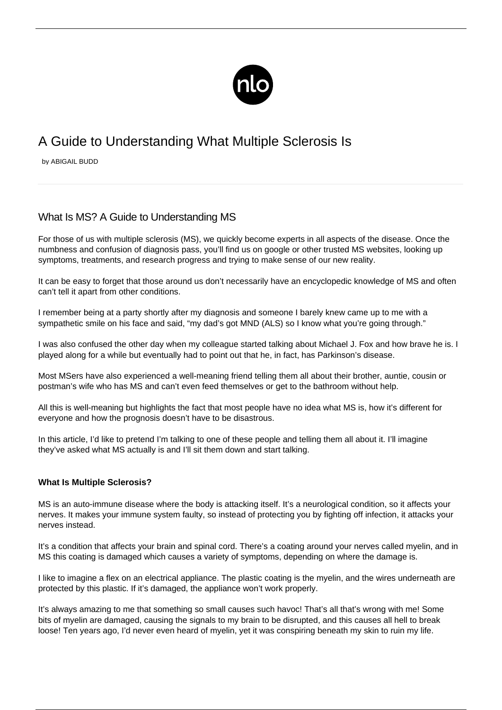

# A Guide to Understanding What Multiple Sclerosis Is

by ABIGAIL BUDD

## What Is MS? A Guide to Understanding MS

For those of us with multiple sclerosis (MS), we quickly become experts in all aspects of the disease. Once the numbness and confusion of diagnosis pass, you'll find us on google or other trusted MS websites, looking up symptoms, treatments, and research progress and trying to make sense of our new reality.

It can be easy to forget that those around us don't necessarily have an encyclopedic knowledge of MS and often can't tell it apart from other conditions.

I remember being at a party shortly after my diagnosis and someone I barely knew came up to me with a sympathetic smile on his face and said, "my dad's got MND (ALS) so I know what you're going through."

I was also confused the other day when my colleague started talking about Michael J. Fox and how brave he is. I played along for a while but eventually had to point out that he, in fact, has Parkinson's disease.

Most MSers have also experienced a well-meaning friend telling them all about their brother, auntie, cousin or postman's wife who has MS and can't even feed themselves or get to the bathroom without help.

All this is well-meaning but highlights the fact that most people have no idea what MS is, how it's different for everyone and how the prognosis doesn't have to be disastrous.

In this article, I'd like to pretend I'm talking to one of these people and telling them all about it. I'll imagine they've asked what MS actually is and I'll sit them down and start talking.

#### **What Is Multiple Sclerosis?**

MS is an auto-immune disease where the body is attacking itself. It's a neurological condition, so it affects your nerves. It makes your immune system faulty, so instead of protecting you by fighting off infection, it attacks your nerves instead.

It's a condition that affects your brain and spinal cord. There's a coating around your nerves called myelin, and in MS this coating is damaged which causes a variety of symptoms, depending on where the damage is.

I like to imagine a flex on an electrical appliance. The plastic coating is the myelin, and the wires underneath are protected by this plastic. If it's damaged, the appliance won't work properly.

It's always amazing to me that something so small causes such havoc! That's all that's wrong with me! Some bits of myelin are damaged, causing the signals to my brain to be disrupted, and this causes all hell to break loose! Ten years ago, I'd never even heard of myelin, yet it was conspiring beneath my skin to ruin my life.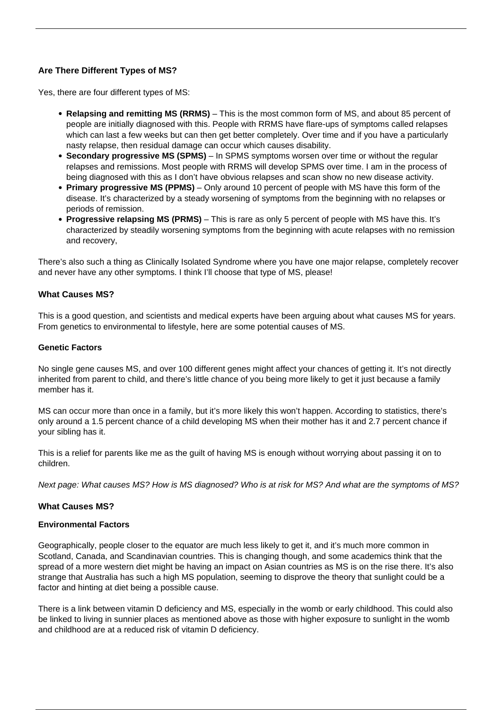### **Are There Different Types of MS?**

Yes, there are four different types of MS:

- **Relapsing and remitting MS (RRMS)** This is the most common form of MS, and about 85 percent of people are initially diagnosed with this. People with RRMS have flare-ups of symptoms called relapses which can last a few weeks but can then get better completely. Over time and if you have a particularly nasty relapse, then residual damage can occur which causes disability.
- **Secondary progressive MS (SPMS)** In SPMS symptoms worsen over time or without the regular relapses and remissions. Most people with RRMS will develop SPMS over time. I am in the process of being diagnosed with this as I don't have obvious relapses and scan show no new disease activity.
- **Primary progressive MS (PPMS)** Only around 10 percent of people with MS have this form of the disease. It's characterized by a steady worsening of symptoms from the beginning with no relapses or periods of remission.
- **Progressive relapsing MS (PRMS)** This is rare as only 5 percent of people with MS have this. It's characterized by steadily worsening symptoms from the beginning with acute relapses with no remission and recovery,

There's also such a thing as Clinically Isolated Syndrome where you have one major relapse, completely recover and never have any other symptoms. I think I'll choose that type of MS, please!

#### **What Causes MS?**

This is a good question, and scientists and medical experts have been arguing about [what causes MS](/what-causes-ms/) for years. From genetics to environmental to lifestyle, here are some potential causes of MS.

#### **Genetic Factors**

[No single gene causes MS](/ms-hereditary/), and over 100 different genes might affect your chances of getting it. It's not directly inherited from parent to child, and there's little chance of you being more likely to get it just because a family member has it.

MS can occur more than once in a family, but it's more likely this won't happen. According to statistics, there's only around a 1.5 percent chance of a child developing MS when their mother has it and 2.7 percent chance if your sibling has it.

This is a relief for parents like me as the guilt of having MS is enough without worrying about passing it on to children.

Next page: What causes MS? How is MS diagnosed? Who is at risk for MS? And what are the symptoms of MS?

#### **What Causes MS?**

#### **Environmental Factors**

Geographically, people closer to the equator are much less likely to get it, and it's much more common in Scotland, Canada, and Scandinavian countries. This is changing though, and some academics think that the spread of a more western diet might be having an impact on Asian countries as MS is on the rise there. It's also strange that Australia has such a high MS population, seeming to disprove the theory that sunlight could be a factor and hinting at diet being a possible cause.

There is a link between vitamin D deficiency and MS, especially in the womb or early childhood. This could also be linked to living in sunnier places as mentioned above as those with higher exposure to sunlight in the womb and childhood are at a reduced risk of vitamin D deficiency.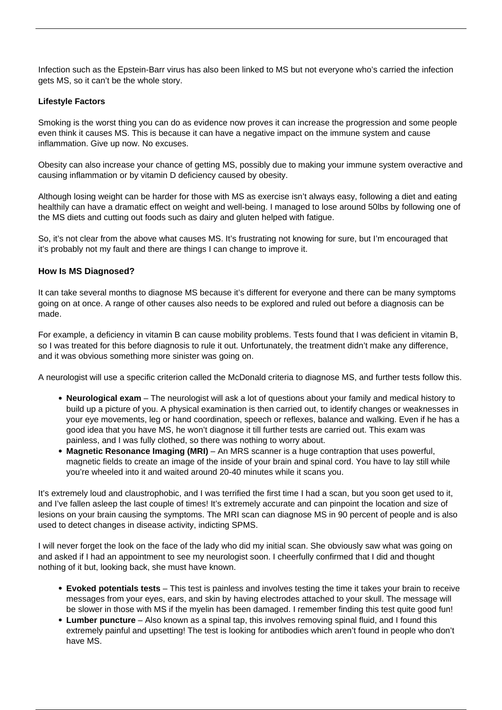Infection such as the [Epstein-Barr virus has also been linked to MS](/epstein-barr-virus-and-ms/) but not everyone who's carried the infection gets MS, so it can't be the whole story.

#### **Lifestyle Factors**

Smoking is the worst thing you can do as evidence now proves it can increase the progression and some people even think it causes MS. This is because it can have a negative impact on the immune system and cause inflammation. Give up now. No excuses.

Obesity can also increase your chance of getting MS, possibly due to making your immune system overactive and causing inflammation or by vitamin D deficiency caused by obesity.

Although losing weight can be harder for those with MS as exercise isn't always easy, following a diet and eating healthily can have a dramatic effect on weight and well-being. I managed to lose around 50lbs by following one of the MS diets and cutting out foods such as dairy and gluten helped with fatigue.

So, it's not clear from the above what causes MS. It's frustrating not knowing for sure, but I'm encouraged that it's probably not my fault and there are things I can change to improve it.

#### **How Is MS Diagnosed?**

It can take several months to [diagnose MS](/how-is-multiple-sclerosis-diagnosed/) because it's different for everyone and there can be many symptoms going on at once. A range of other causes also needs to be explored and ruled out before a diagnosis can be made.

For example, a deficiency in vitamin B can cause mobility problems. Tests found that I was deficient in vitamin B, so I was treated for this before diagnosis to rule it out. Unfortunately, the treatment didn't make any difference, and it was obvious something more sinister was going on.

A neurologist will use a specific criterion called the McDonald criteria to diagnose MS, and [further tests](/testing-for-ms/) follow this.

- **Neurological exam** The neurologist will ask a lot of questions about your family and medical history to build up a picture of you. A physical examination is then carried out, to identify changes or weaknesses in your eye movements, leg or hand coordination, speech or reflexes, balance and walking. Even if he has a good idea that you have MS, he won't diagnose it till further tests are carried out. This exam was painless, and I was fully clothed, so there was nothing to worry about.
- **Magnetic Resonance Imaging (MRI)** An MRS scanner is a huge contraption that uses powerful, magnetic fields to create an image of the inside of your brain and spinal cord. You have to lay still while you're wheeled into it and waited around 20-40 minutes while it scans you.

It's extremely loud and claustrophobic, and I was terrified the first time I had a scan, but you soon get used to it, and I've fallen asleep the last couple of times! It's extremely accurate and can pinpoint the location and size of lesions on your brain causing the symptoms. The MRI scan can diagnose MS in 90 percent of people and is also used to detect changes in disease activity, indicting SPMS.

I will never forget the look on the face of the lady who did my initial scan. She obviously saw what was going on and asked if I had an appointment to see my neurologist soon. I cheerfully confirmed that I did and thought nothing of it but, looking back, she must have known.

- **Evoked potentials tests** This test is painless and involves testing the time it takes your brain to receive messages from your eyes, ears, and skin by having electrodes attached to your skull. The message will be slower in those with MS if the myelin has been damaged. I remember finding this test quite good fun!
- **Lumber puncture** Also known as a spinal tap, this involves removing spinal fluid, and I found this extremely painful and upsetting! The test is looking for antibodies which aren't found in people who don't have MS.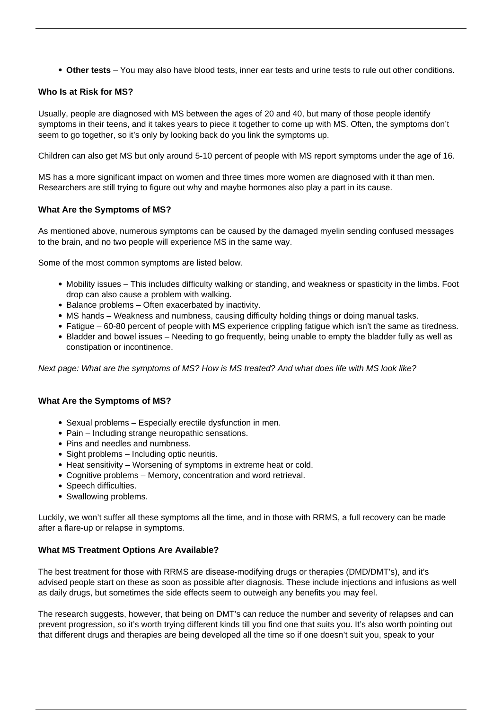**Other tests** – You may also have blood tests, inner ear tests and urine tests to rule out other conditions.

#### **Who Is at Risk for MS?**

Usually, people are diagnosed with MS between the ages of 20 and 40, but many of those people identify symptoms in their teens, and it takes years to piece it together to come up with MS. Often, the symptoms don't seem to go together, so it's only by looking back do you link the symptoms up.

[Children can also get MS](/ms-children/) but only around 5-10 percent of people with MS report symptoms under the age of 16.

MS has a more significant impact on women and three times more women are diagnosed with it than men. Researchers are still trying to figure out why and maybe hormones also play a part in its cause.

#### **What Are the Symptoms of MS?**

As mentioned above, numerous symptoms can be caused by the damaged myelin sending confused messages to the brain, and no two people will experience MS in the same way.

Some of the most common symptoms are listed below.

- Mobility issues This includes difficulty walking or standing, and weakness or spasticity in the limbs. Foot drop can also cause a problem with walking.
- Balance problems Often exacerbated by inactivity.
- MS hands Weakness and numbness, causing difficulty holding things or doing manual tasks.
- Fatigue 60-80 percent of people with MS experience crippling fatigue which isn't the same as tiredness.
- Bladder and bowel issues Needing to go frequently, being unable to empty the bladder fully as well as constipation or incontinence.

Next page: What are the symptoms of MS? How is MS treated? And what does life with MS look like?

#### **What Are the Symptoms of MS?**

- Sexual problems Especially erectile dysfunction in men.
- Pain Including strange neuropathic sensations.
- Pins and needles and numbness.
- Sight problems Including optic neuritis.
- Heat sensitivity Worsening of symptoms in extreme heat or cold.
- Cognitive problems Memory, concentration and word retrieval.
- Speech difficulties.
- Swallowing problems.

Luckily, we won't suffer all these symptoms all the time, and in those with RRMS, a full recovery can be made after a flare-up or relapse in symptoms.

#### **What MS Treatment Options Are Available?**

The best treatment for those with RRMS are disease-modifying drugs or therapies (DMD/DMT's), and it's advised people start on these as soon as possible after diagnosis. These include injections and infusions as well as daily drugs, but sometimes the side effects seem to outweigh any benefits you may feel.

The research suggests, however, that being on DMT's can reduce the number and severity of relapses and can prevent progression, so it's worth trying different kinds till you find one that suits you. It's also worth pointing out that different drugs and therapies are being developed all the time so if one doesn't suit you, speak to your